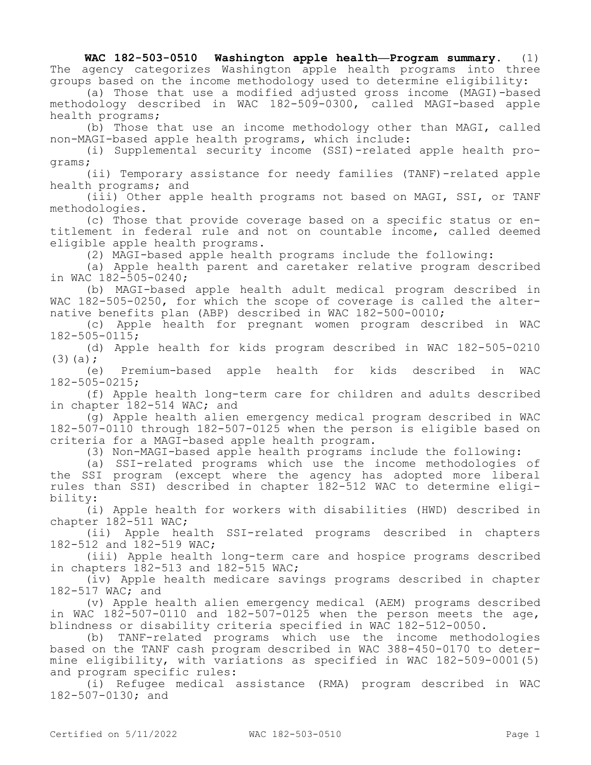**WAC 182-503-0510 Washington apple health—Program summary.** (1) The agency categorizes Washington apple health programs into three groups based on the income methodology used to determine eligibility:

(a) Those that use a modified adjusted gross income (MAGI)-based methodology described in WAC 182-509-0300, called MAGI-based apple health programs;

(b) Those that use an income methodology other than MAGI, called non-MAGI-based apple health programs, which include:

(i) Supplemental security income (SSI)-related apple health programs;

(ii) Temporary assistance for needy families (TANF)-related apple health programs; and

(iii) Other apple health programs not based on MAGI, SSI, or TANF methodologies.

(c) Those that provide coverage based on a specific status or entitlement in federal rule and not on countable income, called deemed eligible apple health programs.

(2) MAGI-based apple health programs include the following:

(a) Apple health parent and caretaker relative program described in WAC 182-505-0240;

(b) MAGI-based apple health adult medical program described in WAC 182-505-0250, for which the scope of coverage is called the alternative benefits plan (ABP) described in WAC 182-500-0010;

(c) Apple health for pregnant women program described in WAC 182-505-0115;

(d) Apple health for kids program described in WAC 182-505-0210  $(3)(a);$ 

(e) Premium-based apple health for kids described in WAC 182-505-0215;

(f) Apple health long-term care for children and adults described in chapter 182-514 WAC; and

(g) Apple health alien emergency medical program described in WAC 182-507-0110 through 182-507-0125 when the person is eligible based on criteria for a MAGI-based apple health program.

(3) Non-MAGI-based apple health programs include the following:

(a) SSI-related programs which use the income methodologies of the SSI program (except where the agency has adopted more liberal rules than SSI) described in chapter 182-512 WAC to determine eligibility:

(i) Apple health for workers with disabilities (HWD) described in chapter 182-511 WAC;

(ii) Apple health SSI-related programs described in chapters 182-512 and 182-519 WAC;

(iii) Apple health long-term care and hospice programs described in chapters 182-513 and 182-515 WAC;

(iv) Apple health medicare savings programs described in chapter 182-517 WAC; and

(v) Apple health alien emergency medical (AEM) programs described in WAC 182-507-0110 and 182-507-0125 when the person meets the age, blindness or disability criteria specified in WAC 182-512-0050.

(b) TANF-related programs which use the income methodologies based on the TANF cash program described in WAC 388-450-0170 to determine eligibility, with variations as specified in WAC 182-509-0001(5) and program specific rules:

(i) Refugee medical assistance (RMA) program described in WAC 182-507-0130; and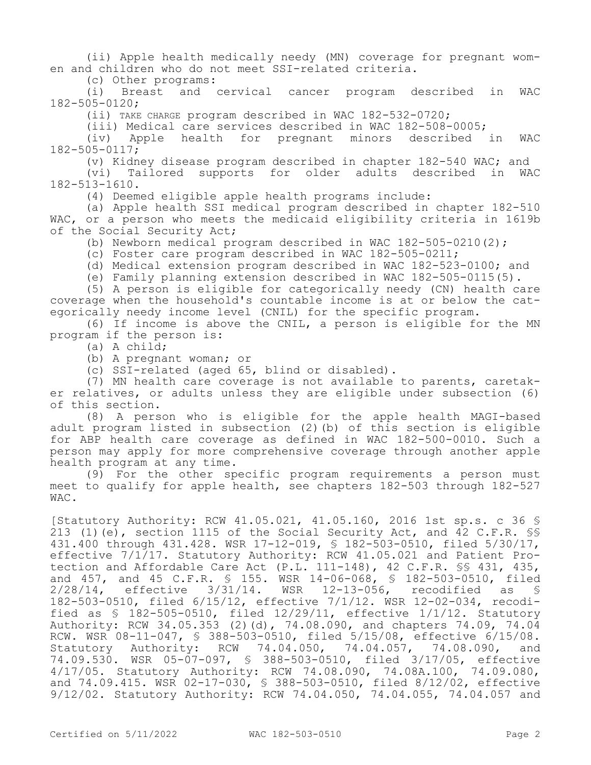(ii) Apple health medically needy (MN) coverage for pregnant women and children who do not meet SSI-related criteria.

(c) Other programs:

(i) Breast and cervical cancer program described in WAC 182-505-0120;

(ii) TAKE CHARGE program described in WAC 182-532-0720;

(iii) Medical care services described in WAC 182-508-0005;

(iv) Apple health for pregnant minors described in WAC 182-505-0117;

(v) Kidney disease program described in chapter 182-540 WAC; and

(vi) Tailored supports for older adults described in WAC 182-513-1610.

(4) Deemed eligible apple health programs include:

(a) Apple health SSI medical program described in chapter 182-510 WAC, or a person who meets the medicaid eligibility criteria in 1619b of the Social Security Act;

(b) Newborn medical program described in WAC 182-505-0210(2);

(c) Foster care program described in WAC 182-505-0211;

(d) Medical extension program described in WAC 182-523-0100; and

(e) Family planning extension described in WAC 182-505-0115(5).

(5) A person is eligible for categorically needy (CN) health care coverage when the household's countable income is at or below the categorically needy income level (CNIL) for the specific program.

(6) If income is above the CNIL, a person is eligible for the MN program if the person is:

(a) A child;

(b) A pregnant woman; or

(c) SSI-related (aged 65, blind or disabled).

(7) MN health care coverage is not available to parents, caretaker relatives, or adults unless they are eligible under subsection (6) of this section.

(8) A person who is eligible for the apple health MAGI-based adult program listed in subsection (2)(b) of this section is eligible for ABP health care coverage as defined in WAC 182-500-0010. Such a person may apply for more comprehensive coverage through another apple health program at any time.

(9) For the other specific program requirements a person must meet to qualify for apple health, see chapters 182-503 through 182-527 WAC.

[Statutory Authority: RCW 41.05.021, 41.05.160, 2016 1st sp.s. c 36 § 213 (1)(e), section 1115 of the Social Security Act, and 42 C.F.R. §§ 431.400 through 431.428. WSR 17-12-019, § 182-503-0510, filed 5/30/17, effective 7/1/17. Statutory Authority: RCW 41.05.021 and Patient Protection and Affordable Care Act (P.L. 111-148), 42 C.F.R. §§ 431, 435, and 457, and 45 C.F.R. \$ 155. WSR 14-06-068, \$ 182-503-0510, filed<br>2/28/14, effective 3/31/14. WSR 12-13-056, recodified as \$ effective  $3/31/14$ . WSR 12-13-056, recodified as § 182-503-0510, filed 6/15/12, effective 7/1/12. WSR 12-02-034, recodified as § 182-505-0510, filed 12/29/11, effective 1/1/12. Statutory Authority: RCW 34.05.353 (2)(d), 74.08.090, and chapters 74.09, 74.04 RCW. WSR 08-11-047, \$ 388-503-0510, filed 5/15/08, effective 6/15/08.<br>Statutory Authority: RCW 74.04.050, 74.04.057, 74.08.090, and Statutory Authority: RCW 74.04.050, 74.04.057, 74.08.090, and 74.09.530. WSR 05-07-097, § 388-503-0510, filed 3/17/05, effective 4/17/05. Statutory Authority: RCW 74.08.090, 74.08A.100, 74.09.080, and 74.09.415. WSR 02-17-030, § 388-503-0510, filed 8/12/02, effective 9/12/02. Statutory Authority: RCW 74.04.050, 74.04.055, 74.04.057 and